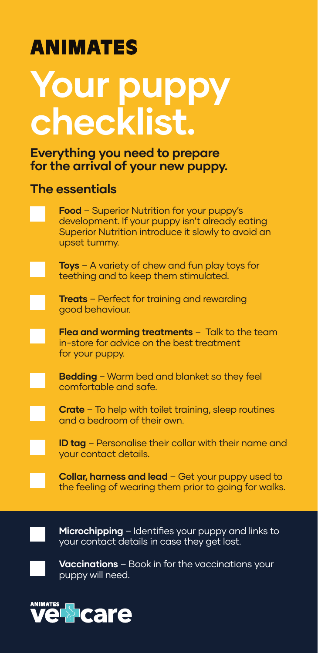# **ANIMATES**

# **Your puppy checklist.**

#### **Everything you need to prepare for the arrival of your new puppy.**

#### **The essentials**

**Food** – Superior Nutrition for your puppy's development. If your puppy isn't already eating Superior Nutrition introduce it slowly to avoid an upset tummy.

**Toys** – A variety of chew and fun play toys for teething and to keep them stimulated.

**Treats** – Perfect for training and rewarding good behaviour.

**Flea and worming treatments** – Talk to the team in-store for advice on the best treatment for your puppy.

**Bedding** – Warm bed and blanket so they feel comfortable and safe.

**Crate** – To help with toilet training, sleep routines and a bedroom of their own.

**ID tag** – Personalise their collar with their name and your contact details.

**Collar, harness and lead** – Get your puppy used to the feeling of wearing them prior to going for walks.



**Microchipping** – Identifies your puppy and links to your contact details in case they get lost.

**Vaccinations** – Book in for the vaccinations your puppy will need.